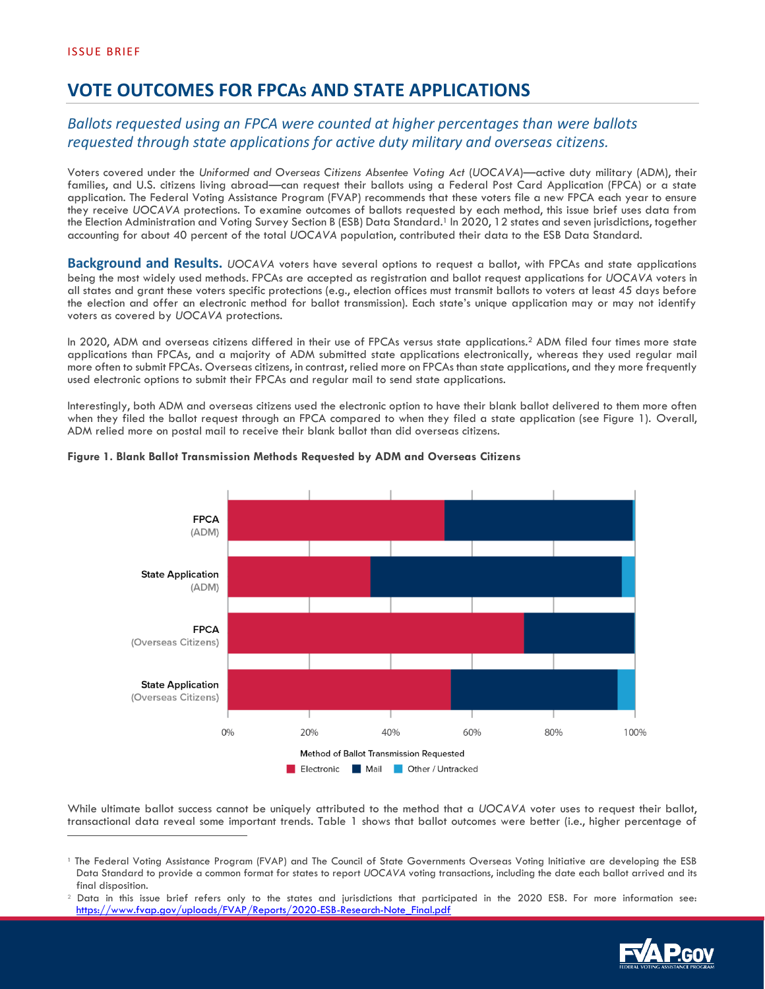# **VOTE OUTCOMES FOR FPCAS AND STATE APPLICATIONS**

# *Ballots requested using an FPCA were counted at higher percentages than were ballots requested through state applications for active duty military and overseas citizens.*

Voters covered under the *Uniformed and Overseas Citizens Absentee Voting Act* (*UOCAVA*)—active duty military (ADM), their families, and U.S. citizens living abroad—can request their ballots using a Federal Post Card Application (FPCA) or a state application. The Federal Voting Assistance Program (FVAP) recommends that these voters file a new FPCA each year to ensure they receive *UOCAVA* protections. To examine outcomes of ballots requested by each method, this issue brief uses data from the Election Administration and Voting Survey Section B (ESB) Data Standard. <sup>1</sup> In 2020, 12 states and seven jurisdictions, together accounting for about 40 percent of the total *UOCAVA* population, contributed their data to the ESB Data Standard.

**Background and Results.** *UOCAVA* voters have several options to request a ballot, with FPCAs and state applications being the most widely used methods. FPCAs are accepted as registration and ballot request applications for *UOCAVA* voters in all states and grant these voters specific protections (e.g., election offices must transmit ballots to voters at least 45 days before the election and offer an electronic method for ballot transmission). Each state's unique application may or may not identify voters as covered by *UOCAVA* protections.

In 2020, ADM and overseas citizens differed in their use of FPCAs versus state applications.<sup>2</sup> ADM filed four times more state applications than FPCAs, and a majority of ADM submitted state applications electronically, whereas they used regular mail more often to submit FPCAs. Overseas citizens, in contrast, relied more on FPCAs than state applications, and they more frequently used electronic options to submit their FPCAs and regular mail to send state applications.

Interestingly, both ADM and overseas citizens used the electronic option to have their blank ballot delivered to them more often when they filed the ballot request through an FPCA compared to when they filed a state application (see Figure 1). Overall, ADM relied more on postal mail to receive their blank ballot than did overseas citizens.



#### **Figure 1. Blank Ballot Transmission Methods Requested by ADM and Overseas Citizens**

While ultimate ballot success cannot be uniquely attributed to the method that a *UOCAVA* voter uses to request their ballot, transactional data reveal some important trends. Table 1 shows that ballot outcomes were better (i.e., higher percentage of

<sup>&</sup>lt;sup>2</sup> Data in this issue brief refers only to the states and jurisdictions that participated in the 2020 ESB. For more information see: [https://www.fvap.gov/uploads/FVAP/Reports/2020-ESB-Research-Note\\_Final.pdf](https://www.fvap.gov/uploads/FVAP/Reports/2020-ESB-Research-Note_Final.pdf)



<sup>1</sup> The Federal Voting Assistance Program (FVAP) and The Council of State Governments Overseas Voting Initiative are developing the ESB Data Standard to provide a common format for states to report *UOCAVA* voting transactions, including the date each ballot arrived and its final disposition.